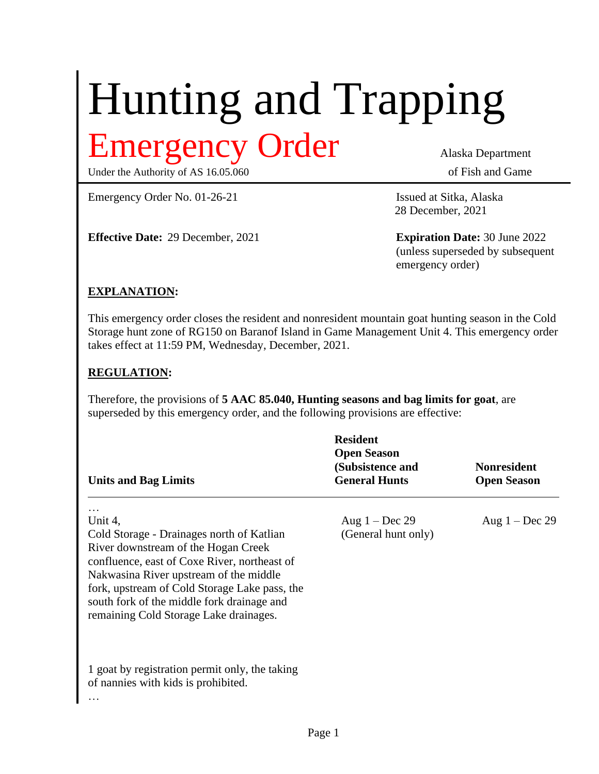# Hunting and Trapping Emergency Order Alaska Department

Under the Authority of AS 16.05.060 of Fish and Game

Emergency Order No. 01-26-21 Issued at Sitka, Alaska

**Effective Date:** 29 December, 2021 **Expiration Date:** 30 June 2022

28 December, 2021

(unless superseded by subsequent emergency order)

#### **EXPLANATION:**

This emergency order closes the resident and nonresident mountain goat hunting season in the Cold Storage hunt zone of RG150 on Baranof Island in Game Management Unit 4. This emergency order takes effect at 11:59 PM, Wednesday, December, 2021.

#### **REGULATION:**

Therefore, the provisions of **5 AAC 85.040, Hunting seasons and bag limits for goat**, are superseded by this emergency order, and the following provisions are effective:

| <b>Units and Bag Limits</b>                                                                                                                                                                                                                                                                                                    | <b>Resident</b><br><b>Open Season</b><br>(Subsistence and<br><b>General Hunts</b> | <b>Nonresident</b><br><b>Open Season</b> |
|--------------------------------------------------------------------------------------------------------------------------------------------------------------------------------------------------------------------------------------------------------------------------------------------------------------------------------|-----------------------------------------------------------------------------------|------------------------------------------|
| Unit 4,<br>Cold Storage - Drainages north of Katlian<br>River downstream of the Hogan Creek<br>confluence, east of Coxe River, northeast of<br>Nakwasina River upstream of the middle<br>fork, upstream of Cold Storage Lake pass, the<br>south fork of the middle fork drainage and<br>remaining Cold Storage Lake drainages. | Aug $1 - Dec$ 29<br>(General hunt only)                                           | Aug $1 - Dec 29$                         |
| 1 goat by registration permit only, the taking<br>of nannies with kids is prohibited.<br>$\cdots$                                                                                                                                                                                                                              |                                                                                   |                                          |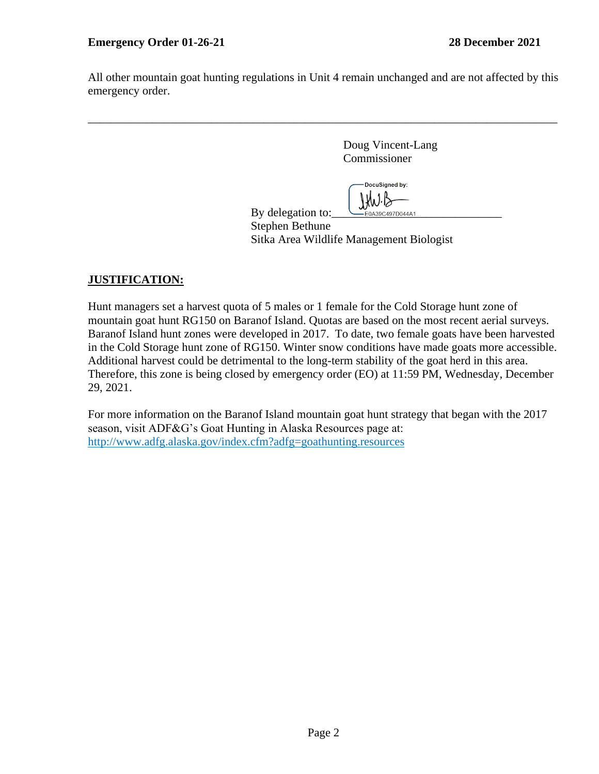All other mountain goat hunting regulations in Unit 4 remain unchanged and are not affected by this emergency order.

\_\_\_\_\_\_\_\_\_\_\_\_\_\_\_\_\_\_\_\_\_\_\_\_\_\_\_\_\_\_\_\_\_\_\_\_\_\_\_\_\_\_\_\_\_\_\_\_\_\_\_\_\_\_\_\_\_\_\_\_\_\_\_\_\_\_\_\_\_\_\_\_\_\_\_\_\_\_\_\_

Doug Vincent-Lang Commissioner

DocuSigned by: By delegation to:  $\bigcup_{\text{Eoisson}(\text{A})} \bigcup_{\text{Boisson}(\text{A})} \bigcup_{\text{Boisson}(\text{A})} \bigcup_{\text{Boisson}(\text{A})} \bigcup_{\text{Boisson}(\text{A})} \bigcup_{\text{Boisson}(\text{A})} \bigcup_{\text{Boisson}(\text{A})} \bigcup_{\text{Boisson}(\text{A})} \bigcup_{\text{Boisson}(\text{A})} \bigcup_{\text{Boisson}(\text{A})} \bigcup_{\text{Boisson}(\text{A})} \bigcup_{\text{Boisson}(\text{A$ 

Stephen Bethune

Sitka Area Wildlife Management Biologist

### **JUSTIFICATION:**

Hunt managers set a harvest quota of 5 males or 1 female for the Cold Storage hunt zone of mountain goat hunt RG150 on Baranof Island. Quotas are based on the most recent aerial surveys. Baranof Island hunt zones were developed in 2017. To date, two female goats have been harvested in the Cold Storage hunt zone of RG150. Winter snow conditions have made goats more accessible. Additional harvest could be detrimental to the long-term stability of the goat herd in this area. Therefore, this zone is being closed by emergency order (EO) at 11:59 PM, Wednesday, December 29, 2021.

For more information on the Baranof Island mountain goat hunt strategy that began with the 2017 season, visit ADF&G's Goat Hunting in Alaska Resources page at: http://www.adfg.alaska.gov/index.cfm?adfg=goathunting.resources